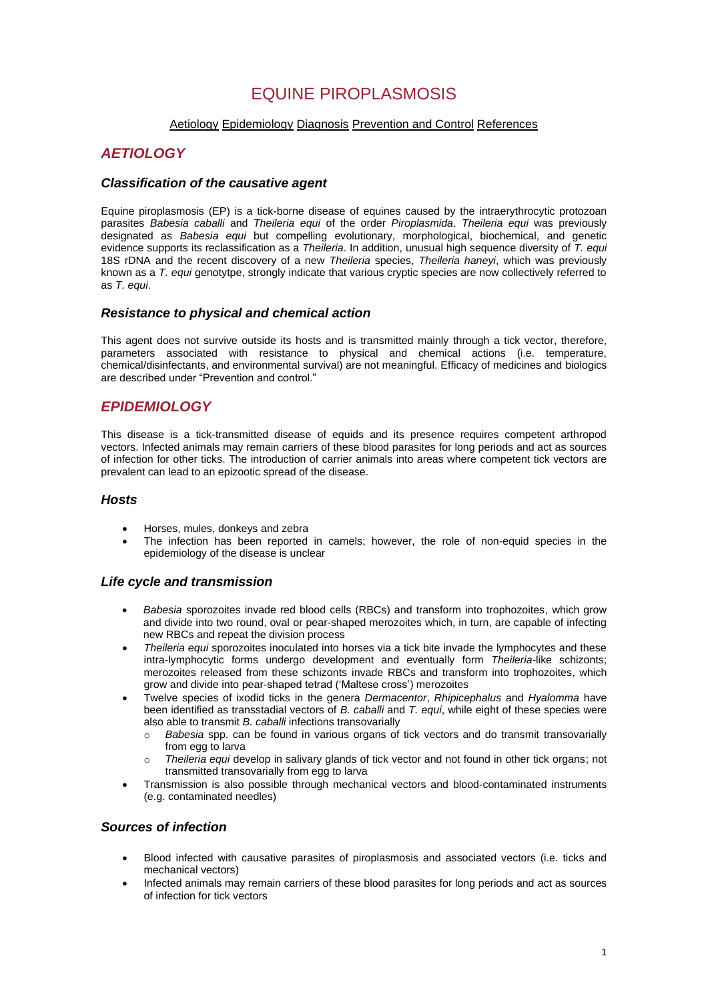# EQUINE PIROPLASMOSIS

### [Aetiology](#page-0-0) [Epidemiology](#page-0-1) [Diagnosis](#page-1-0) [Prevention and Control](#page-2-0) [References](#page-3-0)

# <span id="page-0-0"></span>*AETIOLOGY*

### *Classification of the causative agent*

Equine piroplasmosis (EP) is a tick-borne disease of equines caused by the intraerythrocytic protozoan parasites *Babesia caballi* and *Theileria equi* of the order *Piroplasmida*. *Theileria equi* was previously designated as *Babesia equi* but compelling evolutionary, morphological, biochemical, and genetic evidence supports its reclassification as a *Theileria*. In addition, unusual high sequence diversity of *T. equi* 18S rDNA and the recent discovery of a new *Theileria* species, *Theileria haneyi*, which was previously known as a *T. equi* genotytpe, strongly indicate that various cryptic species are now collectively referred to as *T. equi*.

### *Resistance to physical and chemical action*

This agent does not survive outside its hosts and is transmitted mainly through a tick vector, therefore, parameters associated with resistance to physical and chemical actions (i.e. temperature, chemical/disinfectants, and environmental survival) are not meaningful. Efficacy of medicines and biologics are described under "Prevention and control."

# <span id="page-0-1"></span>*EPIDEMIOLOGY*

This disease is a tick-transmitted disease of equids and its presence requires competent arthropod vectors. Infected animals may remain carriers of these blood parasites for long periods and act as sources of infection for other ticks. The introduction of carrier animals into areas where competent tick vectors are prevalent can lead to an epizootic spread of the disease.

### *Hosts*

- Horses, mules, donkeys and zebra
- The infection has been reported in camels; however, the role of non-equid species in the epidemiology of the disease is unclear

### *Life cycle and transmission*

- *Babesia* sporozoites invade red blood cells (RBCs) and transform into trophozoites, which grow and divide into two round, oval or pear-shaped merozoites which, in turn, are capable of infecting new RBCs and repeat the division process
- *Theileria equi* sporozoites inoculated into horses via a tick bite invade the lymphocytes and these intra-lymphocytic forms undergo development and eventually form *Theileria*-like schizonts; merozoites released from these schizonts invade RBCs and transform into trophozoites, which grow and divide into pear-shaped tetrad ('Maltese cross') merozoites
- Twelve species of ixodid ticks in the genera *Dermacentor*, *Rhipicephalus* and *Hyalomma* have been identified as transstadial vectors of *B. caballi* and *T. equi*, while eight of these species were also able to transmit *B. caballi* infections transovarially
	- o *Babesia* spp. can be found in various organs of tick vectors and do transmit transovarially from egg to larva
	- Theileria equi develop in salivary glands of tick vector and not found in other tick organs; not transmitted transovarially from egg to larva
- Transmission is also possible through mechanical vectors and blood-contaminated instruments (e.g. contaminated needles)

### *Sources of infection*

- Blood infected with causative parasites of piroplasmosis and associated vectors (i.e. ticks and mechanical vectors)
- Infected animals may remain carriers of these blood parasites for long periods and act as sources of infection for tick vectors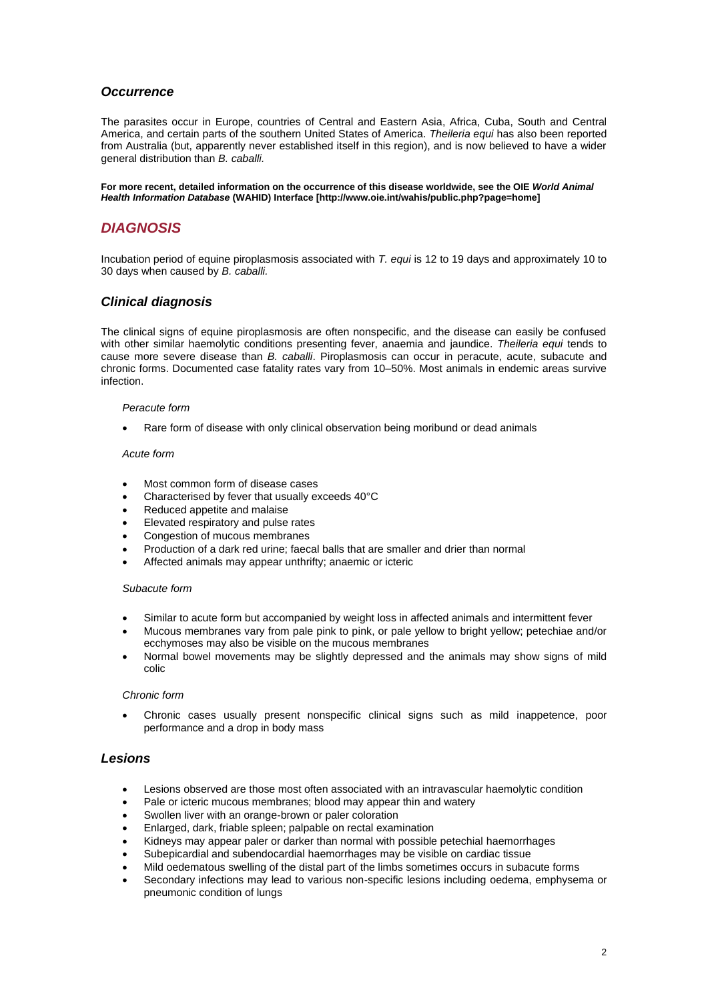# *Occurrence*

The parasites occur in Europe, countries of Central and Eastern Asia, Africa, Cuba, South and Central America, and certain parts of the southern United States of America. *Theileria equi* has also been reported from Australia (but, apparently never established itself in this region), and is now believed to have a wider general distribution than *B. caballi.*

**For more recent, detailed information on the occurrence of this disease worldwide, see the OIE** *World Animal Health Information Database* **(WAHID) Interface [http://www.oie.int/wahis/public.php?page=home]**

# <span id="page-1-0"></span>*DIAGNOSIS*

Incubation period of equine piroplasmosis associated with *T. equi* is 12 to 19 days and approximately 10 to 30 days when caused by *B. caballi.*

### *Clinical diagnosis*

The clinical signs of equine piroplasmosis are often nonspecific, and the disease can easily be confused with other similar haemolytic conditions presenting fever, anaemia and jaundice. *Theileria equi* tends to cause more severe disease than *B. caballi*. Piroplasmosis can occur in peracute, acute, subacute and chronic forms. Documented case fatality rates vary from 10–50%. Most animals in endemic areas survive infection.

#### *Peracute form*

Rare form of disease with only clinical observation being moribund or dead animals

#### *Acute form*

- Most common form of disease cases
- Characterised by fever that usually exceeds 40°C
- Reduced appetite and malaise
- Elevated respiratory and pulse rates
- Congestion of mucous membranes
- Production of a dark red urine; faecal balls that are smaller and drier than normal
- Affected animals may appear unthrifty; anaemic or icteric

#### *Subacute form*

- Similar to acute form but accompanied by weight loss in affected animals and intermittent fever
- Mucous membranes vary from pale pink to pink, or pale yellow to bright yellow; petechiae and/or ecchymoses may also be visible on the mucous membranes
- Normal bowel movements may be slightly depressed and the animals may show signs of mild colic

#### *Chronic form*

• Chronic cases usually present nonspecific clinical signs such as mild inappetence, poor performance and a drop in body mass

### *Lesions*

- Lesions observed are those most often associated with an intravascular haemolytic condition
- Pale or icteric mucous membranes; blood may appear thin and watery
- Swollen liver with an orange-brown or paler coloration
- Enlarged, dark, friable spleen; palpable on rectal examination
- Kidneys may appear paler or darker than normal with possible petechial haemorrhages
- Subepicardial and subendocardial haemorrhages may be visible on cardiac tissue
	- Mild oedematous swelling of the distal part of the limbs sometimes occurs in subacute forms
- Secondary infections may lead to various non-specific lesions including oedema, emphysema or pneumonic condition of lungs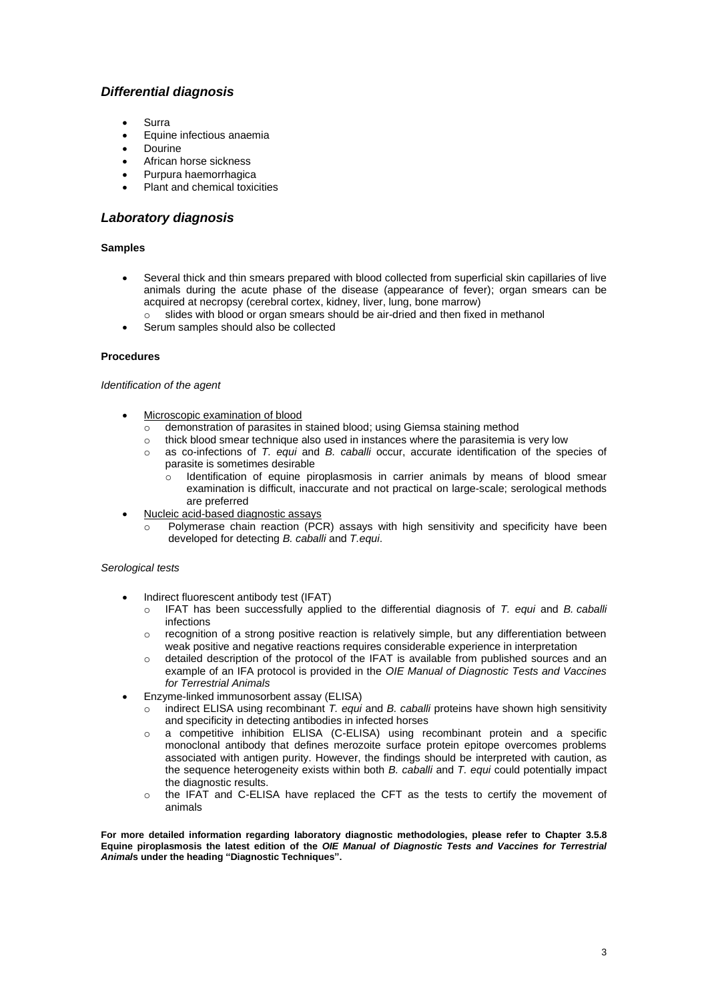# *Differential diagnosis*

- **Surra**
- Equine infectious anaemia
- **Dourine**
- African horse sickness
- Purpura haemorrhagica
- Plant and chemical toxicities

# *Laboratory diagnosis*

#### **Samples**

- Several thick and thin smears prepared with blood collected from superficial skin capillaries of live animals during the acute phase of the disease (appearance of fever); organ smears can be acquired at necropsy (cerebral cortex, kidney, liver, lung, bone marrow)
- o slides with blood or organ smears should be air-dried and then fixed in methanol
- Serum samples should also be collected

#### **Procedures**

#### *Identification of the agent*

- - Microscopic examination of blood<br>
	o demonstration of parasites in demonstration of parasites in stained blood; using Giemsa staining method
	-
	- o thick blood smear technique also used in instances where the parasitemia is very low as co-infections of  $T$ . *equi* and  $B$ . *caballi* occur, accurate identification of the spot as co-infections of *T. equi* and *B. caballi* occur, accurate identification of the species of parasite is sometimes desirable
		- $\circ$  Identification of equine piroplasmosis in carrier animals by means of blood smear examination is difficult, inaccurate and not practical on large-scale; serological methods are preferred
- Nucleic acid-based diagnostic assays
	- Polymerase chain reaction (PCR) assays with high sensitivity and specificity have been developed for detecting *B. caballi* and *T.equi*.

#### *Serological tests*

- Indirect fluorescent antibody test (IFAT)
	- o IFAT has been successfully applied to the differential diagnosis of *T. equi* and *B. caballi*  infections
	- o recognition of a strong positive reaction is relatively simple, but any differentiation between weak positive and negative reactions requires considerable experience in interpretation
	- o detailed description of the protocol of the IFAT is available from published sources and an example of an IFA protocol is provided in the *OIE Manual of Diagnostic Tests and Vaccines for Terrestrial Animals*
- Enzyme-linked immunosorbent assay (ELISA)
	- o indirect ELISA using recombinant *T. equi* and *B. caballi* proteins have shown high sensitivity and specificity in detecting antibodies in infected horses
	- o a competitive inhibition ELISA (C-ELISA) using recombinant protein and a specific monoclonal antibody that defines merozoite surface protein epitope overcomes problems associated with antigen purity. However, the findings should be interpreted with caution, as the sequence heterogeneity exists within both *B. caballi* and *T. equi* could potentially impact the diagnostic results.
	- o the IFAT and C-ELISA have replaced the CFT as the tests to certify the movement of animals

<span id="page-2-0"></span>**For more detailed information regarding laboratory diagnostic methodologies, please refer to Chapter 3.5.8 Equine piroplasmosis the latest edition of the** *OIE Manual of Diagnostic Tests and Vaccines for Terrestrial Animal***s under the heading "Diagnostic Techniques".**